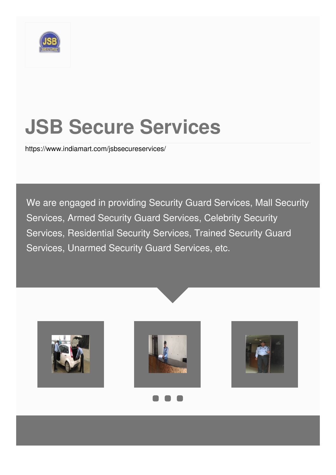

# **JSB Secure Services**

<https://www.indiamart.com/jsbsecureservices/>

We are engaged in providing Security Guard Services, Mall Security Services, Armed Security Guard Services, Celebrity Security Services, Residential Security Services, Trained Security Guard Services, Unarmed Security Guard Services, etc.







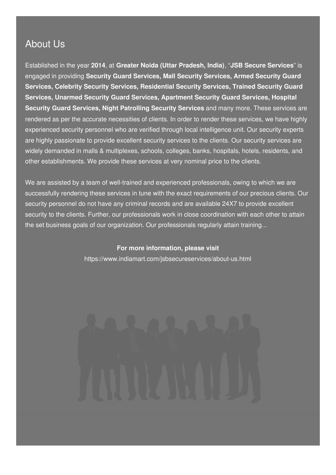### About Us

Established in the year **2014**, at **Greater Noida (Uttar Pradesh, India)**, "**JSB Secure Services**" is engaged in providing **Security Guard Services, Mall Security Services, Armed Security Guard Services, Celebrity Security Services, Residential Security Services, Trained Security Guard Services, Unarmed Security Guard Services, Apartment Security Guard Services, Hospital Security Guard Services, Night Patrolling Security Services** and many more. These services are rendered as per the accurate necessities of clients. In order to render these services, we have highly experienced security personnel who are verified through local intelligence unit. Our security experts are highly passionate to provide excellent security services to the clients. Our security services are widely demanded in malls & multiplexes, schools, colleges, banks, hospitals, hotels, residents, and other establishments. We provide these services at very nominal price to the clients.

We are assisted by a team of well-trained and experienced professionals, owing to which we are successfully rendering these services in tune with the exact requirements of our precious clients. Our security personnel do not have any criminal records and are available 24X7 to provide excellent security to the clients. Further, our professionals work in close coordination with each other to attain the set business goals of our organization. Our professionals regularly attain training...

#### **For more information, please visit**

<https://www.indiamart.com/jsbsecureservices/about-us.html>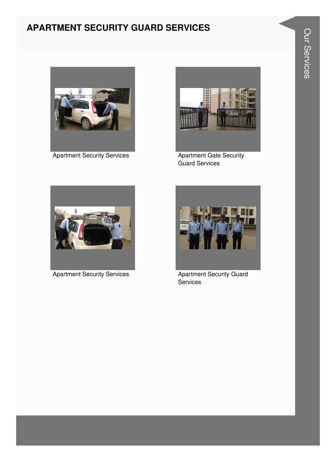### **APARTMENT SECURITY GUARD SERVICES**



**Apartment Security Services** 



**Apartment Gate Security Guard Services** 



**Apartment Security Services** 



**Apartment Security Guard** Services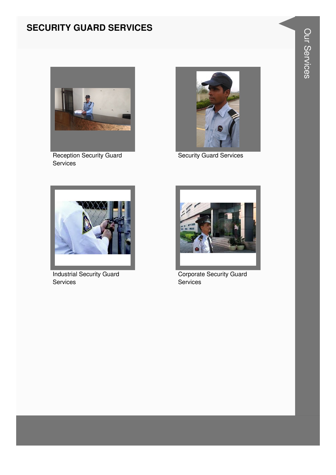#### **SECURITY GUARD SERVICES**



**Reception Security Guard** Services



**Security Guard Services** 



**Industrial Security Guard** Services



Corporate Security Guard Services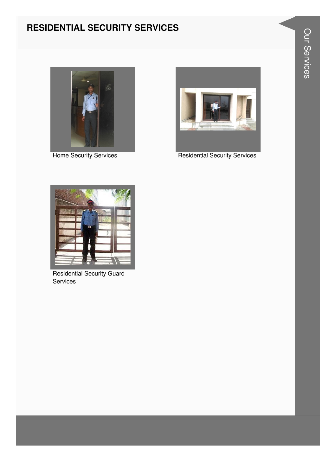#### **RESIDENTIAL SECURITY SERVICES**



**Home Security Services** 



**Residential Security Services** 



**Residential Security Guard** Services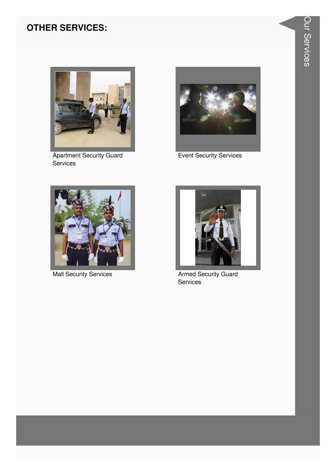#### **OTHER SERVICES:**



**Apartment Security Guard** Services



**Event Security Services** 



**Mall Security Services** 



**Armed Security Guard** Services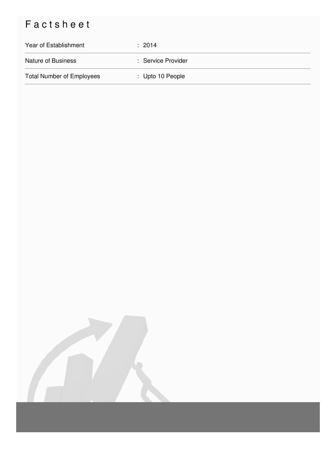## Factsheet

| Year of Establishment            | : 2014             |
|----------------------------------|--------------------|
| <b>Nature of Business</b>        | : Service Provider |
| <b>Total Number of Employees</b> | : Upto 10 People   |